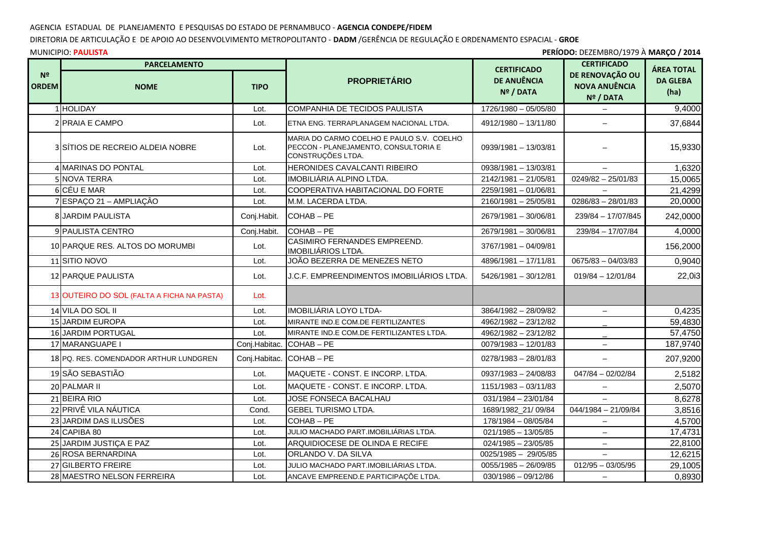## AGENCIA ESTADUAL DE PLANEJAMENTO E PESQUISAS DO ESTADO DE PERNAMBUCO - **AGENCIA CONDEPE/FIDEM**

## DIRETORIA DE ARTICULAÇÃO E DE APOIO AO DESENVOLVIMENTO METROPOLITANTO - **DADM** /GERÊNCIA DE REGULAÇÃO E ORDENAMENTO ESPACIAL - **GROE**

## MUNICIPIO: **PAULISTA**

| PERÍODO: DEZEMBRO/1979 À MARÇO / 2014<br><b>MUNICIPIO: PAULISTA</b> |                                            |               |                                                                                                        |                                                            |                                                                            |                                              |  |
|---------------------------------------------------------------------|--------------------------------------------|---------------|--------------------------------------------------------------------------------------------------------|------------------------------------------------------------|----------------------------------------------------------------------------|----------------------------------------------|--|
| N <sup>2</sup><br><b>ORDEM</b>                                      | <b>PARCELAMENTO</b><br><b>NOME</b>         | <b>TIPO</b>   | <b>PROPRIETÁRIO</b>                                                                                    | <b>CERTIFICADO</b><br>DE ANUÊNCIA<br>N <sup>o</sup> / DATA | <b>CERTIFICADO</b><br>DE RENOVAÇÃO OU<br><b>NOVA ANUÊNCIA</b><br>Nº / DATA | <b>ÁREA TOTAL</b><br><b>DA GLEBA</b><br>(ha) |  |
|                                                                     | 1 HOLIDAY                                  | Lot.          | COMPANHIA DE TECIDOS PAULISTA                                                                          | 1726/1980 - 05/05/80                                       | $\overline{\phantom{0}}$                                                   | 9,4000                                       |  |
|                                                                     | <b>2 IPRAIA E CAMPO</b>                    | Lot.          | ETNA ENG. TERRAPLANAGEM NACIONAL LTDA.                                                                 | 4912/1980 - 13/11/80                                       | $\overline{\phantom{0}}$                                                   | 37,6844                                      |  |
|                                                                     | 3 SÍTIOS DE RECREIO ALDEIA NOBRE           | Lot.          | MARIA DO CARMO COELHO E PAULO S.V. COELHO<br>PECCON - PLANEJAMENTO, CONSULTORIA E<br>CONSTRUÇÕES LTDA. | 0939/1981 - 13/03/81                                       |                                                                            | 15,9330                                      |  |
|                                                                     | 4 MARINAS DO PONTAL                        | Lot.          | HERONIDES CAVALCANTI RIBEIRO                                                                           | 0938/1981 - 13/03/81                                       |                                                                            | 1,6320                                       |  |
|                                                                     | 5 NOVA TERRA                               | Lot.          | IMOBILIÁRIA ALPINO LTDA.                                                                               | 2142/1981 - 21/05/81                                       | $0249/82 - 25/01/83$                                                       | 15,0065                                      |  |
|                                                                     | 6 CÉU E MAR                                | Lot.          | COOPERATIVA HABITACIONAL DO FORTE                                                                      | 2259/1981 - 01/06/81                                       |                                                                            | 21,4299                                      |  |
|                                                                     | 7 ESPAÇO 21 - AMPLIAÇÃO                    | Lot.          | M.M. LACERDA LTDA.                                                                                     | 2160/1981 - 25/05/81                                       | $0286/83 - 28/01/83$                                                       | 20,0000                                      |  |
|                                                                     | <b>8 JARDIM PAULISTA</b>                   | Conj.Habit.   | COHAB-PE                                                                                               | 2679/1981 - 30/06/81                                       | 239/84 - 17/07/845                                                         | 242,0000                                     |  |
|                                                                     | 9 PAULISTA CENTRO                          | Conj.Habit.   | COHAB-PE                                                                                               | 2679/1981 - 30/06/81                                       | 239/84 - 17/07/84                                                          | 4,0000                                       |  |
|                                                                     | 10 PARQUE RES. ALTOS DO MORUMBI            | Lot.          | <b>CASIMIRO FERNANDES EMPREEND.</b><br>IMOBILIÁRIOS LTDA.                                              | 3767/1981 - 04/09/81                                       |                                                                            | 156,2000                                     |  |
|                                                                     | 11 SITIO NOVO                              | Lot.          | JOÃO BEZERRA DE MENEZES NETO                                                                           | 4896/1981 - 17/11/81                                       | $0675/83 - 04/03/83$                                                       | 0,9040                                       |  |
|                                                                     | 12 PARQUE PAULISTA                         | Lot.          | J.C.F. EMPREENDIMENTOS IMOBILIÁRIOS LTDA.                                                              | 5426/1981 - 30/12/81                                       | $019/84 - 12/01/84$                                                        | 22,0i3                                       |  |
|                                                                     | 13 OUTEIRO DO SOL (FALTA A FICHA NA PASTA) | Lot.          |                                                                                                        |                                                            |                                                                            |                                              |  |
|                                                                     | 14 VILA DO SOL II                          | Lot.          | IMOBILIÁRIA LOYO LTDA-                                                                                 | 3864/1982 - 28/09/82                                       | $\overline{\phantom{m}}$                                                   | 0,4235                                       |  |
|                                                                     | 15 JARDIM EUROPA                           | Lot.          | MIRANTE IND.E COM.DE FERTILIZANTES                                                                     | 4962/1982 - 23/12/82                                       |                                                                            | 59,4830                                      |  |
|                                                                     | 16 JARDIM PORTUGAL                         | Lot.          | MIRANTE IND.E COM.DE FERTILIZANTES LTDA.                                                               | 4962/1982 - 23/12/82                                       |                                                                            | 57,4750                                      |  |
|                                                                     | 17 MARANGUAPE I                            | Conj.Habitac. | COHAB-PE                                                                                               | 0079/1983 - 12/01/83                                       | $\overline{\phantom{0}}$                                                   | 187,9740                                     |  |
|                                                                     | 18 PQ. RES. COMENDADOR ARTHUR LUNDGREN     | Conj.Habitac. | COHAB-PE                                                                                               | $0278/1983 - 28/01/83$                                     | $\equiv$                                                                   | 207,9200                                     |  |
|                                                                     | 19 SÃO SEBASTIÃO                           | Lot.          | MAQUETE - CONST. E INCORP. LTDA.                                                                       | $0937/1983 - 24/08/83$                                     | $047/84 - 02/02/84$                                                        | 2,5182                                       |  |
|                                                                     | 20 PALMAR II                               | Lot.          | MAQUETE - CONST. E INCORP. LTDA.                                                                       | 1151/1983 - 03/11/83                                       | $-$                                                                        | 2,5070                                       |  |
|                                                                     | 21 BEIRA RIO                               | Lot.          | JOSE FONSECA BACALHAU                                                                                  | $031/1984 - 23/01/84$                                      |                                                                            | 8,6278                                       |  |
|                                                                     | 22 PRIVÊ VILA NÁUTICA                      | Cond.         | <b>GEBEL TURISMO LTDA.</b>                                                                             | 1689/1982_21/09/84                                         | 044/1984 - 21/09/84                                                        | 3,8516                                       |  |
|                                                                     | 23 JARDIM DAS ILUSÕES                      | Lot.          | COHAB-PE                                                                                               | 178/1984 - 08/05/84                                        |                                                                            | 4,5700                                       |  |
|                                                                     | 24 CAPIBA 80                               | Lot.          | JULIO MACHADO PART.IMOBILIÁRIAS LTDA.                                                                  | $021/1985 - 13/05/85$                                      |                                                                            | 17,4731                                      |  |
|                                                                     | 25 JARDIM JUSTIÇA E PAZ                    | Lot.          | ARQUIDIOCESE DE OLINDA E RECIFE                                                                        | $024/1985 - 23/05/85$                                      | $\overline{\phantom{0}}$                                                   | 22,8100                                      |  |
|                                                                     | 26 ROSA BERNARDINA                         | Lot.          | ORLANDO V. DA SILVA                                                                                    | 0025/1985 - 29/05/85                                       |                                                                            | 12,6215                                      |  |
|                                                                     | 27 GILBERTO FREIRE                         | Lot.          | JULIO MACHADO PART.IMOBILIÁRIAS LTDA.                                                                  | $0055/1985 - 26/09/85$                                     | $012/95 - 03/05/95$                                                        | 29,1005                                      |  |
|                                                                     | 28 MAESTRO NELSON FERREIRA                 | Lot.          | ANCAVE EMPREEND.E PARTICIPAÇÕE LTDA.                                                                   | $030/1986 - 09/12/86$                                      | $-$                                                                        | 0,8930                                       |  |